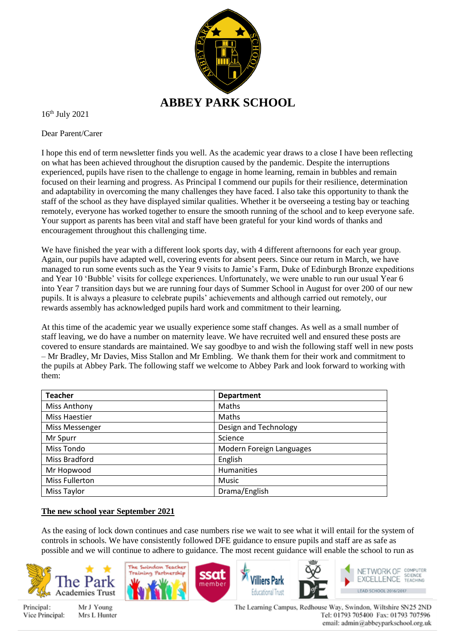

16th July 2021

Dear Parent/Carer

I hope this end of term newsletter finds you well. As the academic year draws to a close I have been reflecting on what has been achieved throughout the disruption caused by the pandemic. Despite the interruptions experienced, pupils have risen to the challenge to engage in home learning, remain in bubbles and remain focused on their learning and progress. As Principal I commend our pupils for their resilience, determination and adaptability in overcoming the many challenges they have faced. I also take this opportunity to thank the staff of the school as they have displayed similar qualities. Whether it be overseeing a testing bay or teaching remotely, everyone has worked together to ensure the smooth running of the school and to keep everyone safe. Your support as parents has been vital and staff have been grateful for your kind words of thanks and encouragement throughout this challenging time.

We have finished the year with a different look sports day, with 4 different afternoons for each year group. Again, our pupils have adapted well, covering events for absent peers. Since our return in March, we have managed to run some events such as the Year 9 visits to Jamie's Farm, Duke of Edinburgh Bronze expeditions and Year 10 'Bubble' visits for college experiences. Unfortunately, we were unable to run our usual Year 6 into Year 7 transition days but we are running four days of Summer School in August for over 200 of our new pupils. It is always a pleasure to celebrate pupils' achievements and although carried out remotely, our rewards assembly has acknowledged pupils hard work and commitment to their learning.

At this time of the academic year we usually experience some staff changes. As well as a small number of staff leaving, we do have a number on maternity leave. We have recruited well and ensured these posts are covered to ensure standards are maintained. We say goodbye to and wish the following staff well in new posts – Mr Bradley, Mr Davies, Miss Stallon and Mr Embling. We thank them for their work and commitment to the pupils at Abbey Park. The following staff we welcome to Abbey Park and look forward to working with them:

| <b>Teacher</b>        | <b>Department</b>        |  |
|-----------------------|--------------------------|--|
| Miss Anthony          | <b>Maths</b>             |  |
| Miss Haestier         | <b>Maths</b>             |  |
| Miss Messenger        | Design and Technology    |  |
| Mr Spurr              | Science                  |  |
| Miss Tondo            | Modern Foreign Languages |  |
| Miss Bradford         | English                  |  |
| Mr Hopwood            | Humanities               |  |
| <b>Miss Fullerton</b> | Music                    |  |
| <b>Miss Taylor</b>    | Drama/English            |  |

#### **The new school year September 2021**

As the easing of lock down continues and case numbers rise we wait to see what it will entail for the system of controls in schools. We have consistently followed DFE guidance to ensure pupils and staff are as safe as possible and we will continue to adhere to guidance. The most recent guidance will enable the school to run as



Principal: Vice Principal:

Mr J Young Mrs L Hunter The Learning Campus, Redhouse Way, Swindon, Wiltshire SN25 2ND Tel: 01793 705400 Fax: 01793 707596 email: admin@abbeyparkschool.org.uk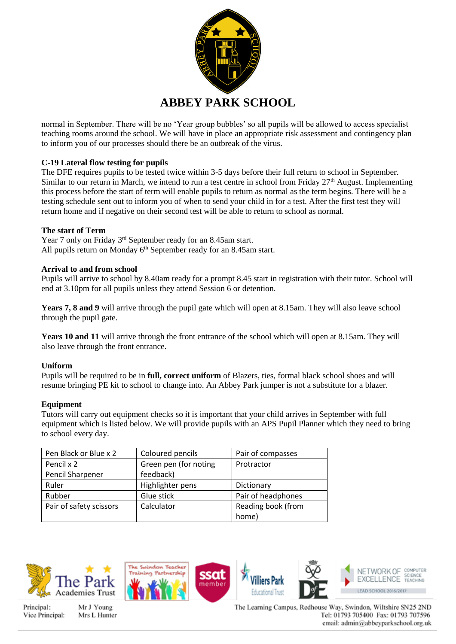

normal in September. There will be no 'Year group bubbles' so all pupils will be allowed to access specialist teaching rooms around the school. We will have in place an appropriate risk assessment and contingency plan to inform you of our processes should there be an outbreak of the virus.

# **C-19 Lateral flow testing for pupils**

The DFE requires pupils to be tested twice within 3-5 days before their full return to school in September. Similar to our return in March, we intend to run a test centre in school from Friday 27<sup>th</sup> August. Implementing this process before the start of term will enable pupils to return as normal as the term begins. There will be a testing schedule sent out to inform you of when to send your child in for a test. After the first test they will return home and if negative on their second test will be able to return to school as normal.

## **The start of Term**

Year 7 only on Friday 3<sup>rd</sup> September ready for an 8.45am start. All pupils return on Monday  $6<sup>th</sup>$  September ready for an 8.45am start.

#### **Arrival to and from school**

Pupils will arrive to school by 8.40am ready for a prompt 8.45 start in registration with their tutor. School will end at 3.10pm for all pupils unless they attend Session 6 or detention.

Years 7, 8 and 9 will arrive through the pupil gate which will open at 8.15am. They will also leave school through the pupil gate.

**Years 10 and 11** will arrive through the front entrance of the school which will open at 8.15am. They will also leave through the front entrance.

## **Uniform**

Pupils will be required to be in **full, correct uniform** of Blazers, ties, formal black school shoes and will resume bringing PE kit to school to change into. An Abbey Park jumper is not a substitute for a blazer.

## **Equipment**

Tutors will carry out equipment checks so it is important that your child arrives in September with full equipment which is listed below. We will provide pupils with an APS Pupil Planner which they need to bring to school every day.

| Pen Black or Blue x 2   | Coloured pencils      | Pair of compasses  |
|-------------------------|-----------------------|--------------------|
| Pencil x 2              | Green pen (for noting | Protractor         |
| Pencil Sharpener        | feedback)             |                    |
| Ruler                   | Highlighter pens      | Dictionary         |
| Rubber                  | Glue stick            | Pair of headphones |
| Pair of safety scissors | Calculator            | Reading book (from |
|                         |                       | home)              |





Mr J Young Mrs L Hunter



The Learning Campus, Redhouse Way, Swindon, Wiltshire SN25 2ND Tel: 01793 705400 Fax: 01793 707596 email: admin@abbeyparkschool.org.uk